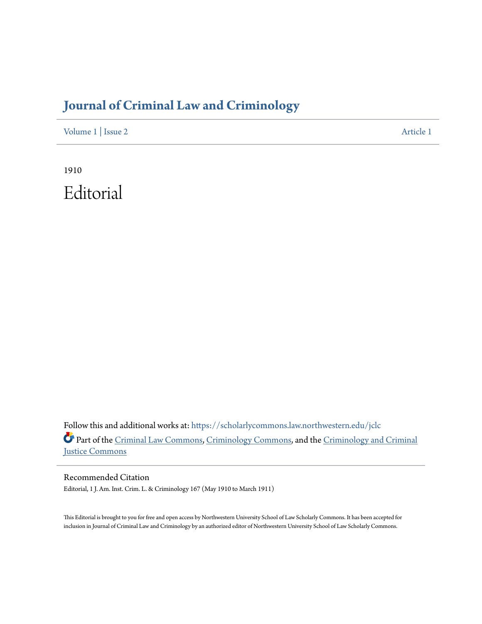## **[Journal of Criminal Law and Criminology](https://scholarlycommons.law.northwestern.edu/jclc?utm_source=scholarlycommons.law.northwestern.edu%2Fjclc%2Fvol1%2Fiss2%2F1&utm_medium=PDF&utm_campaign=PDFCoverPages)**

[Volume 1](https://scholarlycommons.law.northwestern.edu/jclc/vol1?utm_source=scholarlycommons.law.northwestern.edu%2Fjclc%2Fvol1%2Fiss2%2F1&utm_medium=PDF&utm_campaign=PDFCoverPages) | [Issue 2](https://scholarlycommons.law.northwestern.edu/jclc/vol1/iss2?utm_source=scholarlycommons.law.northwestern.edu%2Fjclc%2Fvol1%2Fiss2%2F1&utm_medium=PDF&utm_campaign=PDFCoverPages) [Article 1](https://scholarlycommons.law.northwestern.edu/jclc/vol1/iss2/1?utm_source=scholarlycommons.law.northwestern.edu%2Fjclc%2Fvol1%2Fiss2%2F1&utm_medium=PDF&utm_campaign=PDFCoverPages)

1910 Editorial

Follow this and additional works at: [https://scholarlycommons.law.northwestern.edu/jclc](https://scholarlycommons.law.northwestern.edu/jclc?utm_source=scholarlycommons.law.northwestern.edu%2Fjclc%2Fvol1%2Fiss2%2F1&utm_medium=PDF&utm_campaign=PDFCoverPages) Part of the [Criminal Law Commons](http://network.bepress.com/hgg/discipline/912?utm_source=scholarlycommons.law.northwestern.edu%2Fjclc%2Fvol1%2Fiss2%2F1&utm_medium=PDF&utm_campaign=PDFCoverPages), [Criminology Commons](http://network.bepress.com/hgg/discipline/417?utm_source=scholarlycommons.law.northwestern.edu%2Fjclc%2Fvol1%2Fiss2%2F1&utm_medium=PDF&utm_campaign=PDFCoverPages), and the [Criminology and Criminal](http://network.bepress.com/hgg/discipline/367?utm_source=scholarlycommons.law.northwestern.edu%2Fjclc%2Fvol1%2Fiss2%2F1&utm_medium=PDF&utm_campaign=PDFCoverPages) [Justice Commons](http://network.bepress.com/hgg/discipline/367?utm_source=scholarlycommons.law.northwestern.edu%2Fjclc%2Fvol1%2Fiss2%2F1&utm_medium=PDF&utm_campaign=PDFCoverPages)

Recommended Citation Editorial, 1 J. Am. Inst. Crim. L. & Criminology 167 (May 1910 to March 1911)

This Editorial is brought to you for free and open access by Northwestern University School of Law Scholarly Commons. It has been accepted for inclusion in Journal of Criminal Law and Criminology by an authorized editor of Northwestern University School of Law Scholarly Commons.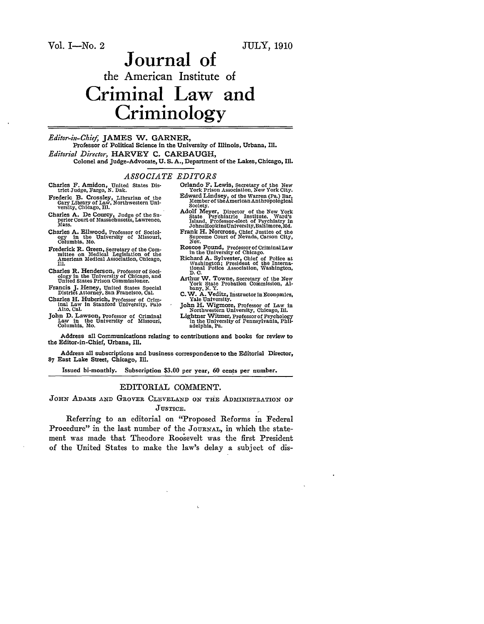# **Journal of** the American Institute of **Criminal Law and Criminology**

## *Editor-in-Chief,* JAMES W. GARNER,

Professor of Political Science in the University of Illinois, Urbana, Ill. *Editorial Director,* HARVEY **C. CARBAUGH,**

Colonel and Judge-Advocate, **U. S. A.,** Department of the Lakes, Chicago, Ill.

## *ASSOCIATE EDITORS*

- Charles F. Amidon, United States Dis-trict Judge, Fargo, **N.** Dak.
- Frederic B. Crossley, Librarian of the Gary Library **of** Law, Northwestern Uni- versity, Chicago, **Ili**
- Charles **A.** De Courcy, Judge of the **Su-**perior Court of Massachusetts, Lawrence, **Mass.**
- Charles **A.** Ellwood, Professor of Sociol-ogy **in** the University of Missouri, Columbia, Mo.
- Frederick R. Green, Secretary of the Com-<br>mittee on Medical Legislation of the<br>American Medical Association, Chicago,<br>Ill.
- Charles R. Henderson, Professor of Sociology in the University of Chicago, and United States Prison Commissioner.
- Francis **J.** Heney, United States Special District Attorney, San Francisco, Cal.
- Charles H. Huberich, Professor of Crim-inal Law in Stanford University. Palo Alto, Cal.
- John D. Lawson, Professor of Criminal Law in the University of Missouri, Columbia, Mo.
- Address all Communications relating to contributions and books for review to the Editor-in-Chief, Urbana, **Ill.**

Address all subscriptions and business correspondence to the Editorial Director, **87** East Lake Street, Chicago, Ill.

Issued bi-monthly. Subscription **\$3.00** per year, **60** cents per number.

#### EDITORIAL **COMMENT.**

JOHN ADAMS AND GROVER CLEVELAND ON THE ADMINISTRATION OF **JUSTICE.**

Referring to an editorial on "Proposed Reforms in Federal Procedure" in the last number of the JOURNAL, in which the statement was made that Theodore Roosevelt was the first President of the United States to make the law's delay a subject of dis-

ċ,

- Orlando F. Lewis, Secretary of the New York Prison Association, New York City. Edward Lindsey, of the Warren (Pa.) Bar, Member of theAmerican Anthropological Society.
- Adolf Meyer, Director of the New York<br>State Psychiaric Institute, Ward's<br>Island, Professor-elect of Psychiatry in<br>JohnsHopkinsUniversity,Baltimore,Md.<br>Frank H. Norcross, Chief Justice of the<br>Supreme Court of Nevada, Carson
- 
- Roscoe Pound, Professor of Criminal Law in the University of Chicago.
- Richard A. Sylvester, Chief of Police at<br>
Washington; President of the Interna-<br>
utonal Police Association, Washington,<br>
D. C.<br>
Arthur W. Towne, Secretary of the New<br>
York State Probation Commission, Al-<br>
bany, N. Y.<br>
C. W
- 
- 
- 
-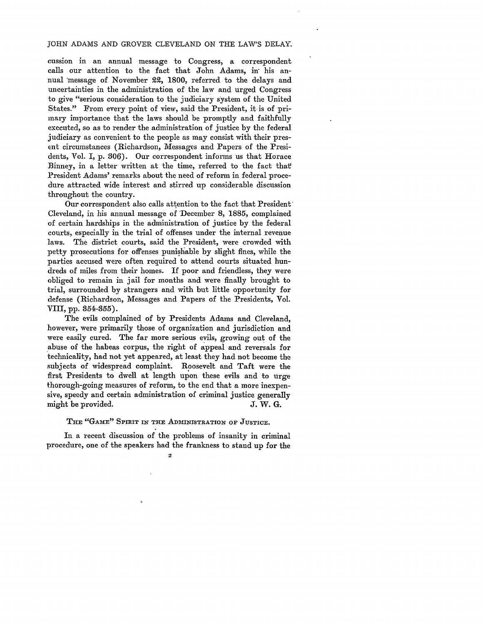## JOHN ADAMS AND GROVER CLEVELAND ON THE LAW'S DELAY.

cussion in an annual message to Congress, a correspondent calls our attention to the fact that John Adams, in' his annual 'message of November 22, 1800, referred to the delays and uncertainties in the administration of the law and urged Congress to give "serious consideration to the judiciary system of the United States." From every point of view, said the President, it is of primary importance that the laws should be promptly and faithfully executed, so as to render the administration of justice by the federal judiciary as convenient to the people as may consist with their present circumstances (Richardson, Messages and Papers of the Presidents, Vol. I, p. 306). Our correspondent informs us that Horace Binney, in a letter written at the time, referred to the fact that President Adams' remarks about the need of reform in federal procedure attracted wide interest and stirred up considerable discussion throughout the country.

Our correspondent also calls attention to the fact that President' Cleveland, in his annual message of 'December 8, 1885, complained of certain hardships in the administration of justice by the federal courts, especially in the trial of offenses under the internal revenue laws. The district courts, said the President, were crowded with petty prosecutions for offenses punishable by slight fines, while the parties accused were often required to attend courts situated hundreds of miles from their homes. If poor and friendless, they were obliged to remain in jail for months and were finally brought to trial, surrounded by strangers and with but little opportunity for defense (Richardson, Messages and Papers of the Presidents, Vol. VIII, pp. **354-355).**

The evils complained of by Presidents Adams and Cleveland, however, were primarily those of organization and jurisdiction and were easily cured. The far more serious evils, growing out of the abuse of the habeas corpus, the right of appeal and reversals for technicality, had not yet appeared, at least they had not become the subjects of widespread complaint. Roosevelt and Taft were the first Presidents to dwell at length upon these evils and to urge thorough-going measures of reform, to the end that a more inexpensive, speedy and certain administration of criminal justice generally might be provided. J.W.G.

THE "GAME" SPIRIT IN THE ADMINISTRATION OF JUSTICE.

In a recent discussion of the problems of insanity in criminal procedure, one of the speakers had the frankness to stand up for the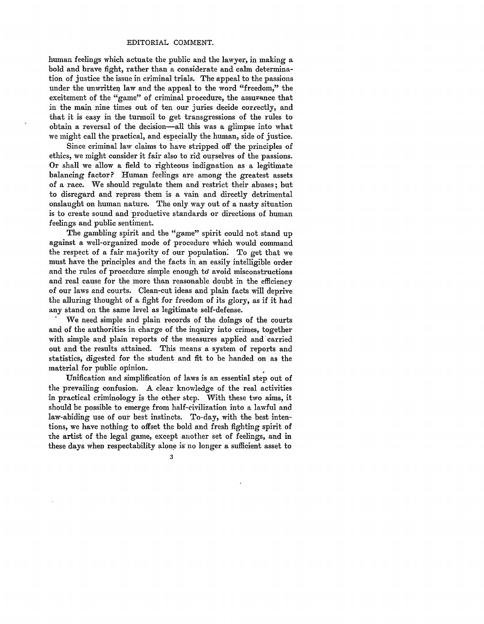human feelings which actuate the public and the lawyer, in making a bold and brave fight, rather than a considerate and calm determination of justice the issue in criminal trials. The appeal to the passions under the unwritten law and the appeal to the word "freedom," the excitement of the "game" of criminal procedure, the assurance that in the main nine times out of ten our juries decide correctly, and that it is easy in the turmoil to get transgressions of the rules to obtain a reversal of the decision-all this was a glimpse into what we might call the practical, and especially the human, side of justice.

Since criminal law claims to have stripped off the principles of ethics, we might consider it fair also to rid ourselves of the passions. Or shall we allow a field to righteous indignation as a legitimate balancing factor? Human feelings are among the greatest assets of a race. We should regulate them and restrict their abuses; but to disregard and repress them is a vain and directly detrimental onslaught on human nature. The only way out of a nasty situation is to create sound and productive standards or directions of human feelings and public sentiment.

The gambling spirit and the "game" spirit could not stand up against a well-organized mode of procedure which would command the respect of a fair majority of our population: To get that we must have the principles and the facts in an easily intelligible order and the rules of procedure simple enough to avoid misconstructions and real cause for the more than reasonable doubt in the efficiency of our laws and courts. Clean-cut ideas and plain facts will deprive the alluring thought of a fight for freedom of its glory, as if it had any stand on the same level as legitimate self-defense.

We need simple and plain records of the doings of the courts and of the authorities in charge of the inquiry into crimes, together with simple and plain reports of the measures applied and carried out and the results attained. This means a system of reports and statistics, digested for the student and fit to be handed on as the material for public opinion.

Unification and simplification of laws is an essential step out of the prevailing confusion. A clear knowledge of the real activities in practical criminology is the other stcp. With these two aims, it should be possible to emerge from half-civilization into a lawful and law-abiding use of our best instincts. To-day, with the best intentions, we have nothing to offset the bold and fresh fighting spirit of the artist of the legal game, except another set of feelings, and in these days when respectability alone is no longer a sufficient asset to

 $\mathbf{3}$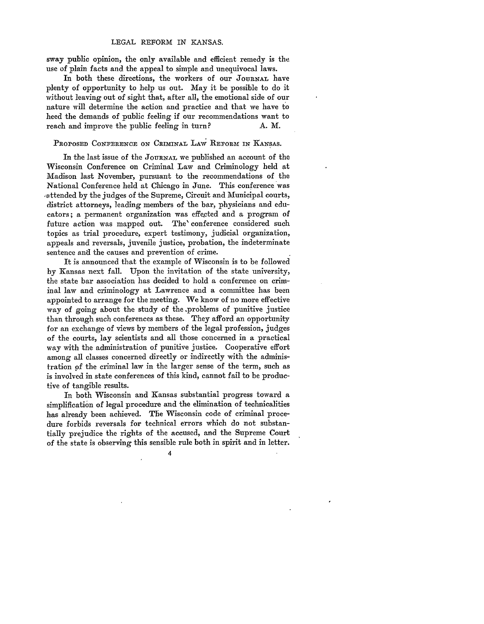## LEGAL REFORM IN KANSAS.

sway public opinion, the only available and efficient remedy is the use of plain facts and the appeal to simple and unequivocal laws.

In both these directions, the workers of our **JOURNAL** have plenty of opportunity to help us out. May it be possible to do it without leaving out of sight that, after all, the emotional side of our nature will determine the action and practice and that we have to heed the demands of public feeling if our recommendations want to reach and improve the public feeling in turn? A. M.

## PROPOSED CONFERENCE ON CRIMINAL LAW REFORM IN KANSAS.

In the last issue of the JOURNAL we published an account of the Wisconsin Conference on Criminal Law and Criminology held at Madison last November, pursuant to the recommendations of the National Conference held at Chicago in June. This conference was attended by the judges of the Supreme, Circuit and Municipal courts, district attorneys, leading members of the bar, physicians and educators; a permanent organization was effected and a program of future action was mapped out. The' conference considered such topics as trial procedure, expert testimony, judicial organization, appeals and reversals, juvenile justice, probation, the indeterminate sentence and the causes and prevention of crime.

It is announced that the example of Wisconsin is to be followed by Kansas next fall. Upon the invitation of the state university, the state bar association has decided to hold a conference on criminal law and criminology at Lawrence and a committee has been appointed to arrange for the meeting. We know of no more effective way of going about the study of the problems of punitive justice than through such conferences as these. They afford an opportunity for an exchange of views by members of the legal profession, judges of the courts, lay scientists and all those concerned in a practical way with the administration of punitive justice. Cooperative effort among all classes concerned directly or indirectly with the administration **of** the criminal law in the larger sense of the term, such as is involved in state conferences of this kind, cannot fail to be productive of tangible results.

In both Wisconsin and Kansas substantial progress toward a simplification of legal procedure and the elimination of technicalities has already been achieved. The Wisconsin code of criminal procedure forbids reversals for technical errors which do not substantially prejudice the rights of the accused, and the Supreme Court of the state is observing this sensible rule both in spirit and in letter.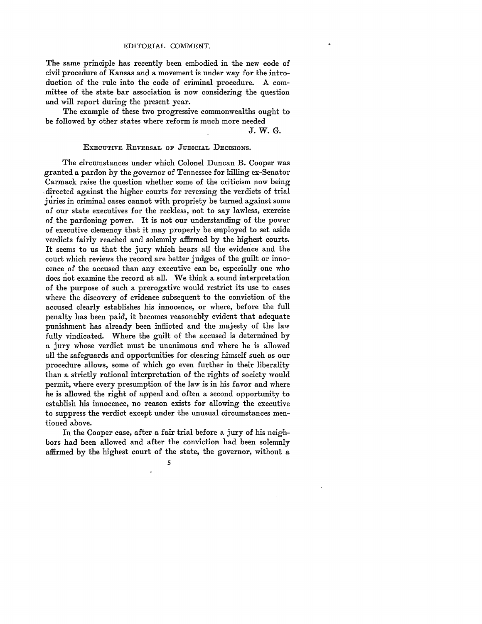The same principle has recently been embodied in the new code of civil procedure of Kansas and a movement is under way for the introduction of the rule into the code of criminal procedure. A committee of the state bar association is now considering the question and will report during the present year.

The example of these two progressive commonwealths ought to be followed by other states where reform is much more needed

**J.** W. **G.**

## EXECUTIVE REVERSAL **OF** JUDICIAL DECISIONS.

The circumstances under which Colonel Duncan B. Cooper was granted a pardon by the governor of Tennessee for killing ex-Senator Carmack raise the question whether some of the criticism now being directed against the higher courts for reversing the verdicts of trial juries in criminal cases cannot with propriety be turned against some of our state executives for the reckless, not to say lawless, exercise of the pardoning power. It is not our understanding of the power of executive clemency that it may properly be employed to set aside verdicts fairly reached and solemnly affirmed by the highest courts. It seems to us that the jury which hears all the evidence and the court which reviews the record are better judges of the guilt or innocence of the accused than any executive can be, especially one who does not examine the record at all. We think a sound interpretation of the purpose of such a prerogative would restrict its use to cases where the discovery of evidence subsequent to the conviction of the accused clearly establishes his innocence, or where, before the full penalty has been paid, it becomes reasonably evident that adequate punishment has already been inflicted and the majesty of the law fully vindicated. Where the guilt of the accused is determined by a jury whose verdict must be unanimous and where he is allowed all the safeguards and opportunities for clearing himself such as our procedure allows, some of which go even further in their liberality than a strictly rational interpretation of the rights of society would permit, where every presumption of the law is in his favor and where he is allowed the right of appeal and often a second opportunity to establish his innocence, no reason exists for allowing the executive to suppress the verdict except under the unusual circumstances mentioned above.

In the Cooper case, after a fair trial before a jury of his neighbors had been allowed and after the conviction had been solemnly affirmed by the highest court of the state, the governor, without a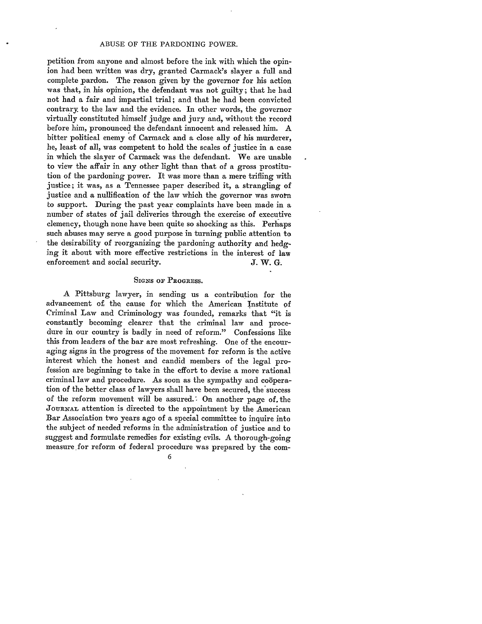## ABUSE OF THE PARDONING POWER.

petition from anyone and almost before the ink with which the opinion had been written was dry, granted Carmack's slayer a full and complete pardon. The reason given by the governor for his action was that, in his opinion, the defendant was not guilty; that he had not had a fair and impartial trial; and that he had been convicted contrary to the law and the evidence. In other words, the governor virtually constituted himself judge and jury and, without the record before him, pronounced the defendant innocent and released him. A bitter political enemy of Carmack and a close ally of his murderer, he, least of all, was competent to hold the scales of justice in a case in which the slayer of Carmack was the defendant. We are unable to view the affair in any other light than that of a gross prostitution of the pardoning power. It was more than a mere trifling with justice; it was, as a Tennessee paper described it, a strangling of justice and a nullification of the law which the governor was sworn to support. During the past year complaints have been made in a number of states of jail deliveries through the exercise of executive clemency, though none have been quite so shocking as this. Perhaps such abuses may serve a good purpose in turning public attention to the desirability of reorganizing the pardoning authority and hedging it about with more effective restrictions in the interest of law enforcement and social security. J. W. G.

#### **SIGNS OF** PROGRESS.

A Pittsburg lawyer, in sending us a contribution for the advancement of. the. cause for which the American Institute **of** Criminal Law and Criminology was founded, remarks that "it is constantly becoming clearer that the criminal law and procedure in our country is badly in need of reform." Confessions like this from leaders of the bar are most refreshing. One of the encouraging signs in the progress of the movement for reform is the active interest which the honest and candid members of the legal profession are beginning to take in the effort to devise a more rational criminal law and procedure. As soon as the sympathy and coiperation of the better class of lawyers shall have been secured, the'success of the reform movement will be assured.' On another page of. the **JOURNAL** attention is directed to the appointment by the American Bar Association two years ago of a special committee to inquire into the subject of needed reforms in the administration of justice and to suggest and formulate remedies for existing evils. A thorough-going measure for reform of federal procedure was prepared by the com-

6

 $\ddot{\phantom{a}}$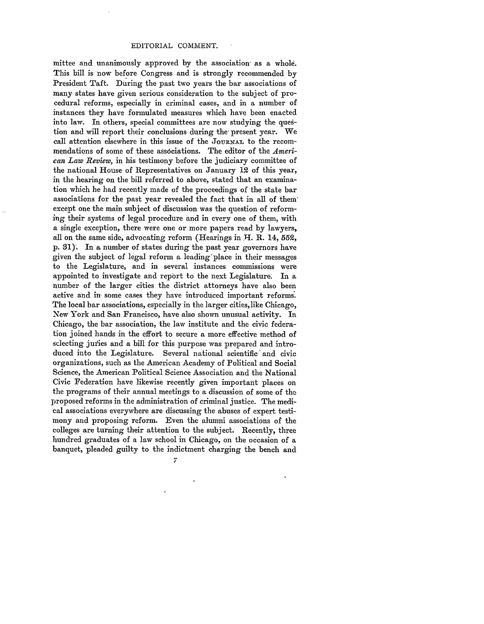mittee and unanimously approved **by** the association- as a whole. This bill is now before Congress and is strongly recommended by President Taft. During the past two years the bar associations of many states have given serious consideration to the subject of procedural reforms, especially in criminal cases, and in a number of instances they have formulated measures which have been enacted into law. In others, special committees are now studying the question and will report their conclusions during the- present year. We call attention elsewhere in this issue of the **JOURNAL** to the recommendations of some of these associations. The editor of the *American Law Review,* in his testimony before the judiciary committee of the national House of Representatives on January 12 of this year, in the hearing on the bill referred to above, stated that an examination which he had recently made of the proceedings of the state bar associations for the past year revealed the fact that in all of themexcept one the main subject of discussion was the question of reforming their systems of legal procedure and in every one of them, with a single exception, there were one or more papers read by lawyers, all on the same side, advocating reform (Hearings in .H. R. 14, **552, p.** 31). In a number of states during the past year governors have given the subject of legal reform a leading'place in their messages to the Legislature, and in several instances commissions were appointed to investigate and report to the next Legislature. In a number of the larger cities the district attorneys have also been active and in some cases they have introduced important reforms. The local bar associations, especially in the larger cities, like Chicago, New York and San Francisco, have also shown unusual activity. In Chicago, the bar association, the law institute and the civic federation joined hands in the effort to secure a more effective method of sclecting juries and a bill for this purpose was prepared and introduced into the Legislature. Several national scientific'and civic organizations, such as the American Academy of Political and Social Science, the American Political Science Association and the National Civic Federation have likewise recently given important places on the programs of their annual meetings to a discussion of some of the proposed reforms in the administration of criminal justice. The medical associations everywhere are discussing the abuses of expert testimony and proposing reform. Even the alumni associations of the colleges are turning their attention to the subject. Recently, three hundred graduates of a law school in Chicago, on the occasion of a banquet, pleaded guilty to the indictment charging the bench and

 $\tilde{z}$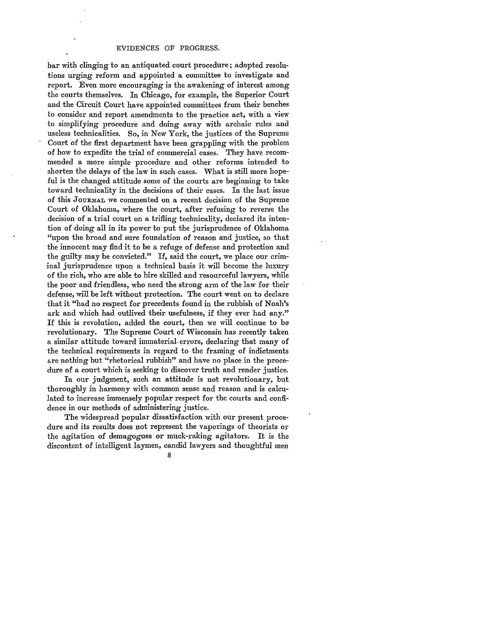## EVIDENCES OF PROGRESS.

bar with clinging to an antiquated court procedure; adopted resolutions urging reform and appointed a committee to investigate and report. Even more encouraging is the awakening of interest among the courts themselves. In Chicago, for example, the Superior Court and the Circuit Court have appointed committees from their benches to consider and report amendments to the practice act, with a view to simplifying procedure and doing away with archaic rules and useless technicalities. So, in New York, the justices of the Supreme Court of the first department have been grappling with the problem of how to expedite the trial of commercial cases. They have recommended a more simple procedure and other reforms intended to shorten the delays of the law in such cases. What is still more hopeful is the changed attitude some of the courts are beginning to take toward technicality in the decisions of their cases. In the last issue of this **JOURNAL** we commented on a recent decision of the Supreme Court of Oklahoma, where the court, after refusing to reverse the decision of a trial court on a trifling technicality, declared its intention of doing all in its power to put the jurisprudence of Oklahoma "upon the broad and sure foundation of reason and justice, so that the innocent may find it to be a refuge of defense and protection and the guilty may be convicted." If, said the court, we place our criminal jurisprudence upon a technical basis it will become the luxury of the rich, who are able to hire skilled and resourceful lawyers, while the poor and friendless, who need the strong arm of the law for their defense, will be left without protection. The court went on to declare that it "had no respect for precedents found in the rubbish of Noah's ark and which had outlived their usefulness, if they ever had any." If this is revolution, added the court, then we will continue to be revolutionary. The Supreme Court of Wisconsin has recently taken a similar attitude toward immaterial errors, declaring that many of the technical requirements in regard to the framing of indictments are nothing but "rhetorical rubbish" and have no place in the procedure of a court which is seeking to discover truth and render justice.

In our judgment, such an attitude is not revolutionary, but thoroughly in harmony with common sense and reason and is calculated to increase immensely popular respect for the courts and confidence in our methods of administering justice.

The widespread popular dissatisfaction with our present procedure and its results does not represent the vaporings of theorists or the agitation of demagogues or muck-raking agitators. It is the discontent of intelligent laymen, candid lawyers and thoughtful men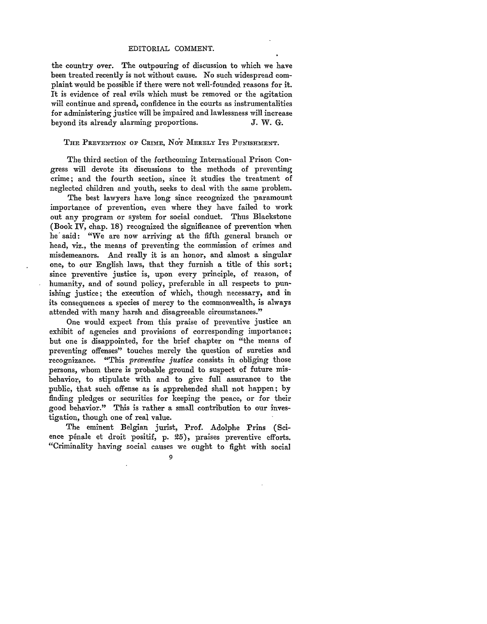the country over. The outpouring of discussion to which we have been treated recently is not without cause. No such widespread complaint would be possible if there were not well-founded reasons for it. It is evidence of real evils which must be removed or the agitation will continue and spread, confidence in the courts as instrumentalities for administering justice will be impaired and lawlessness will increase beyond its already alarming proportions. **J.** W. **G.**

## THE PREVENTION op **CRIME,** NOT MERELY ITS **PUNTISHINIENT.**

The third section of the forthcoming International Prison Congress will devote its discussions to the methods of preventing crime; and the fourth section, since it studies the treatment of neglected children and youth, seeks to deal with the same problem.

The best lawyers have long since recognized the paramount importance of prevention, even where they have failed to work out any program or system for social conduct. Thus Blackstone (Book IV, chap. 18) recognized the significance of prevention when he said: "We are now arriving at the fifth general branch or head, viz., the means of preventing the commission of crimes and misdemeanors. And really it is an honor, and almost a singular one, to our English laws, that they furnish a title of this sort; since preventive justice is, upon every principle, of reason, of humanity, and of sound policy, preferable in all respects to punishing justice; the execution of which, though necessary, and in its consequences a species of mercy to the commonwealth, is always attended with many harsh and disagreeable circumstances."

One would expect from this praise of preventive justice an exhibit of agencies and provisions of corresponding importance; but one is disappointed, for the brief chapter on "the means of preventing offenses" touches merely the question of sureties and recognizance. "This *preventive justice* consists in obliging those persons, whom there is probable ground to suspect of future misbehavior, to stipulate with and to give full assurance to the public, that such offense as is apprehended shall not happen; by finding pledges or securities for keeping the peace, or for their good behavior." This is rather a small contribution to our investigation, though one of real value.

The eminent Belgian jurist, Prof. Adolphe Prins (Science pénale et droit positif, p. 25), praises preventive efforts. "Criminality having social causes we ought to fight with social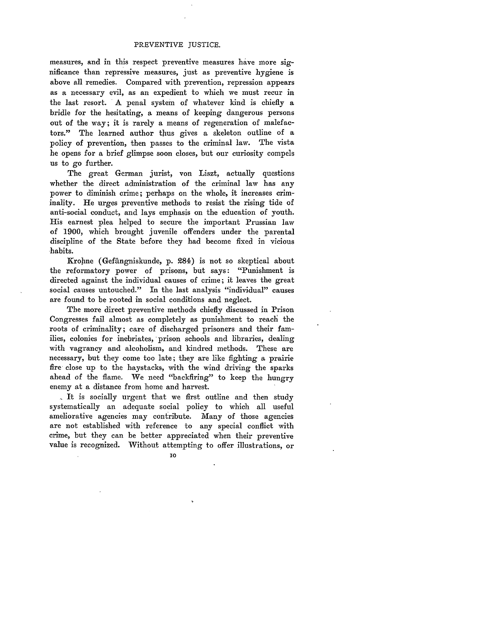## PREVENTIVE JUSTICE.

measures, and in this respect preventive measures have more significance than repressive measures, just as preventive hygiene is above all remedies. Compared with prevention, repression appears as a necessary evil, as an expedient to which we must recur in the last resort. A penal system of whatever kind is chiefly a bridle for the hesitating, a means of keeping dangerous persons out of the way; it is rarely a means of regeneration of malefactors." The learned author thus gives a skeleton outline of a policy of prevention, then passes to the criminal law. The vista he opens for a brief glimpse soon closes, but our curiosity compels us to go further.

The great German jurist, von Liszt, actually questions whether the direct administration of the criminal law has any power to diminish crime; perhaps on the whole, it increases criminality. He urges preventive methods to resist the rising tide of anti-social conduct, and lays emphasis on the education of youth. His earnest plea helped to secure the important Prussian law of 1900, which brought juvenile offenders under the parental discipline of the State before they had become fixed in vicious habits.

Krohne (Gefängniskunde, p. 284) is not so skeptical about the reformatory power of prisons, but says: "Punishment is directed against the individual causes of crime; it leaves the great social causes untouched." In the last analysis "individual" causes are found to be rooted in social conditions and neglect.

The more direct preventive methods chiefly discussed in Prison Congresses fail almost as completely as punishment to reach the roots of criminality; care of discharged prisoners and their families, colonies for inebriates, prison schools and libraries, dealing with vagrancy and alcoholism, and kindred methods. These are necessary, but they come too late; they are like fighting a prairie fire close up to the haystacks, with the wind driving the sparks ahead of the flame. We need "backfiring" to keep the hungry enemy at a distance from home and harvest.

It is socially urgent that we first outline and then study systematically an adequate social policy to which all useful ameliorative agencies may contribute. Many of those agencies are not established with reference to any special conflict with crime, but they can be better appreciated when their preventive value is recognized. Without attempting to offer illustrations, or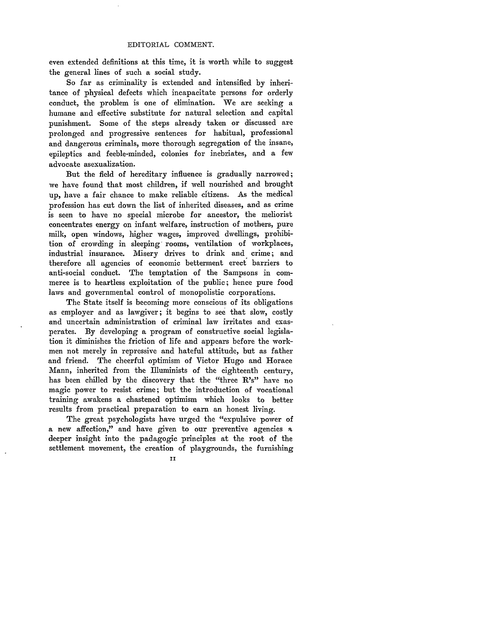even extended definitions at this time, it is worth while to suggest the general lines of such a social study.

So far as criminality is extended and intensified by inheritance of physical defects which incapacitate persons for orderly conduct, the problem is one of elimination. We are seeking a humane and effective substitute for natural selection and capital punishment. Some of the steps already taken or discussed are prolonged and progressive sentences for habitual, professional and dangerous criminals, more thorough segregation of the insane, epileptics and feeble-minded, colonies for inebriates, and a few advocate asexualization.

But the field of hereditary influence is gradually narrowed; we have found that most children, if well nourished and brought up, have a fair chance to make reliable citizens. As the medical profession has cut down the list of inherited diseases, and as crime is seen to have no special microbe for ancestor, the meliorist concentrates energy on infant welfare, instruction of mothers, pure milk, open windows, higher wages, improved dwellings, prohibition of crowding in sleeping rooms, ventilation of workplaces, industrial insurance. Misery drives to drink and crime; and therefore all agencies of economic betterment erect barriers to anti-social conduct. The temptation of the Sampsons in commerce is to heartless exploitation of the public; hence pure food laws and governmental control of monopolistic corporations.

The State itself is becoming more conscious of its obligations as employer and as lawgiver; it begins to see that slow, costly and uncertain administration of criminal law irritates and exasperates. By developing a program of constructive social legislation it diminishes the friction of life and appears before the workmen not merely in repressive and hateful attitude, but as father and friend. The cheerful optimism of Victor Hugo and Horace Mann, inherited from the Illuminists of the eighteenth century, has been chilled by the discovery that the "three R's" have no magic power to resist crime; but the introduction of vocational training awakens a chastened optimism which looks to better results from practical preparation to earn an honest living.

The great psychologists have urged the "expulsive power of a new affection," and have given to our preventive agencies a deeper insight into the padagogic principles at the root of the settlement movement, the creation of playgrounds, the furnishing

TT<sub></sub>